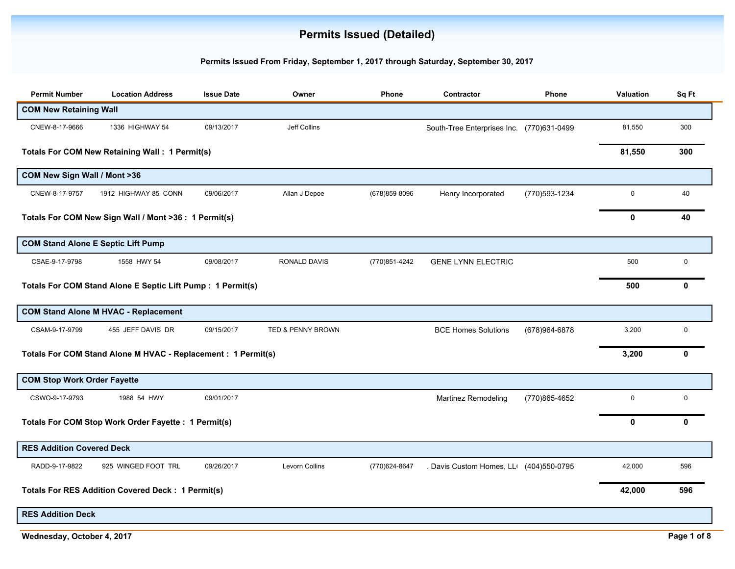## **Permits Issued (Detailed)**

## **Permits Issued From Friday, September 1, 2017 through Saturday, September 30, 2017**

| <b>Permit Number</b>               | <b>Location Address</b>                                       | <b>Issue Date</b> | Owner                 | Phone          | Contractor                               | <b>Phone</b>   | Valuation   | Sq Ft        |
|------------------------------------|---------------------------------------------------------------|-------------------|-----------------------|----------------|------------------------------------------|----------------|-------------|--------------|
| <b>COM New Retaining Wall</b>      |                                                               |                   |                       |                |                                          |                |             |              |
| CNEW-8-17-9666                     | 1336 HIGHWAY 54                                               | 09/13/2017        | Jeff Collins          |                | South-Tree Enterprises Inc (770)631-0499 |                | 81,550      | 300          |
|                                    | <b>Totals For COM New Retaining Wall: 1 Permit(s)</b>         |                   |                       |                |                                          |                | 81,550      | 300          |
| COM New Sign Wall / Mont >36       |                                                               |                   |                       |                |                                          |                |             |              |
| CNEW-8-17-9757                     | 1912 HIGHWAY 85 CONN                                          | 09/06/2017        | Allan J Depoe         | (678) 859-8096 | Henry Incorporated                       | (770) 593-1234 | $\mathbf 0$ | 40           |
|                                    | Totals For COM New Sign Wall / Mont >36 : 1 Permit(s)         |                   |                       |                |                                          |                | 0           | 40           |
|                                    | <b>COM Stand Alone E Septic Lift Pump</b>                     |                   |                       |                |                                          |                |             |              |
| CSAE-9-17-9798                     | 1558 HWY 54                                                   | 09/08/2017        | <b>RONALD DAVIS</b>   | (770)851-4242  | <b>GENE LYNN ELECTRIC</b>                |                | 500         | $\mathbf 0$  |
|                                    | Totals For COM Stand Alone E Septic Lift Pump : 1 Permit(s)   |                   |                       |                |                                          |                | 500         | $\mathbf{0}$ |
|                                    | <b>COM Stand Alone M HVAC - Replacement</b>                   |                   |                       |                |                                          |                |             |              |
| CSAM-9-17-9799                     | 455 JEFF DAVIS DR                                             | 09/15/2017        | TED & PENNY BROWN     |                | <b>BCE Homes Solutions</b>               | (678)964-6878  | 3,200       | 0            |
|                                    | Totals For COM Stand Alone M HVAC - Replacement : 1 Permit(s) |                   |                       |                |                                          |                | 3,200       | 0            |
| <b>COM Stop Work Order Fayette</b> |                                                               |                   |                       |                |                                          |                |             |              |
| CSWO-9-17-9793                     | 1988 54 HWY                                                   | 09/01/2017        |                       |                | Martinez Remodeling                      | (770)865-4652  | $\mathbf 0$ | $\mathbf 0$  |
|                                    | Totals For COM Stop Work Order Fayette : 1 Permit(s)          |                   |                       |                |                                          |                | 0           | 0            |
| <b>RES Addition Covered Deck</b>   |                                                               |                   |                       |                |                                          |                |             |              |
| RADD-9-17-9822                     | 925 WINGED FOOT TRL                                           | 09/26/2017        | <b>Levorn Collins</b> | (770) 624-8647 | . Davis Custom Homes, LL (404)550-0795   |                | 42,000      | 596          |
|                                    | <b>Totals For RES Addition Covered Deck: 1 Permit(s)</b>      |                   |                       |                |                                          |                | 42,000      | 596          |
| <b>RES Addition Deck</b>           |                                                               |                   |                       |                |                                          |                |             |              |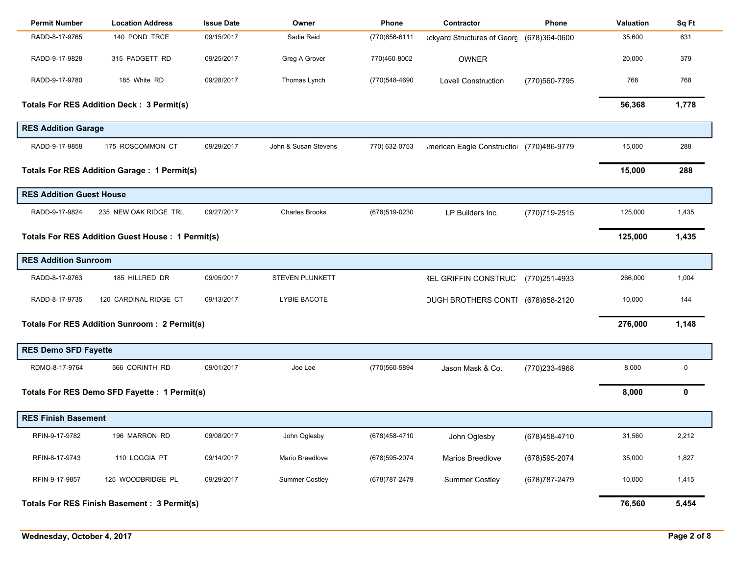| <b>Permit Number</b>            | <b>Location Address</b>                                 | <b>Issue Date</b> | Owner                 | Phone          | Contractor                                      | <b>Phone</b>   | Valuation | Sq Ft       |
|---------------------------------|---------------------------------------------------------|-------------------|-----------------------|----------------|-------------------------------------------------|----------------|-----------|-------------|
| RADD-8-17-9765                  | 140 POND TRCE                                           | 09/15/2017        | Sadie Reid            | (770)856-6111  | ackyard Structures of Georg (678)364-0600       |                | 35,600    | 631         |
| RADD-9-17-9828                  | 315 PADGETT RD                                          | 09/25/2017        | Greg A Grover         | 770)460-8002   | <b>OWNER</b>                                    |                | 20,000    | 379         |
| RADD-9-17-9780                  | 185 White RD                                            | 09/28/2017        | Thomas Lynch          | (770)548-4690  | <b>Lovell Construction</b>                      | (770) 560-7795 | 768       | 768         |
|                                 | <b>Totals For RES Addition Deck: 3 Permit(s)</b>        |                   |                       |                |                                                 |                | 56,368    | 1,778       |
| <b>RES Addition Garage</b>      |                                                         |                   |                       |                |                                                 |                |           |             |
| RADD-9-17-9858                  | 175 ROSCOMMON CT                                        | 09/29/2017        | John & Susan Stevens  | 770) 632-0753  | <b>Imerican Eagle Constructio (770)486-9779</b> |                | 15,000    | 288         |
|                                 | <b>Totals For RES Addition Garage: 1 Permit(s)</b>      |                   |                       |                |                                                 |                | 15,000    | 288         |
| <b>RES Addition Guest House</b> |                                                         |                   |                       |                |                                                 |                |           |             |
| RADD-9-17-9824                  | 235 NEW OAK RIDGE TRL                                   | 09/27/2017        | <b>Charles Brooks</b> | (678)519-0230  | LP Builders Inc.                                | (770)719-2515  | 125,000   | 1,435       |
|                                 | <b>Totals For RES Addition Guest House: 1 Permit(s)</b> |                   |                       |                |                                                 |                | 125,000   | 1,435       |
| <b>RES Addition Sunroom</b>     |                                                         |                   |                       |                |                                                 |                |           |             |
| RADD-8-17-9763                  | 185 HILLRED DR                                          | 09/05/2017        | STEVEN PLUNKETT       |                | <b>REL GRIFFIN CONSTRUCT</b>                    | (770)251-4933  | 266,000   | 1,004       |
| RADD-8-17-9735                  | 120 CARDINAL RIDGE CT                                   | 09/13/2017        | LYBIE BACOTE          |                | OUGH BROTHERS CONTI (678)858-2120               |                | 10,000    | 144         |
|                                 | <b>Totals For RES Addition Sunroom: 2 Permit(s)</b>     |                   |                       |                |                                                 |                | 276,000   | 1,148       |
| <b>RES Demo SFD Fayette</b>     |                                                         |                   |                       |                |                                                 |                |           |             |
| RDMO-8-17-9764                  | 566 CORINTH RD                                          | 09/01/2017        | Joe Lee               | (770)560-5894  | Jason Mask & Co.                                | (770)233-4968  | 8,000     | 0           |
|                                 | Totals For RES Demo SFD Fayette : 1 Permit(s)           |                   |                       |                |                                                 |                | 8,000     | $\mathbf 0$ |
| <b>RES Finish Basement</b>      |                                                         |                   |                       |                |                                                 |                |           |             |
| RFIN-9-17-9782                  | 196 MARRON RD                                           | 09/08/2017        | John Oglesby          | (678) 458-4710 | John Oglesby                                    | (678) 458-4710 | 31,560    | 2,212       |
| RFIN-8-17-9743                  | 110 LOGGIA PT                                           | 09/14/2017        | Mario Breedlove       | (678) 595-2074 | Marios Breedlove                                | (678) 595-2074 | 35,000    | 1,827       |
| RFIN-9-17-9857                  | 125 WOODBRIDGE PL                                       | 09/29/2017        | <b>Summer Costley</b> | (678) 787-2479 | <b>Summer Costley</b>                           | (678) 787-2479 | 10,000    | 1,415       |
|                                 | Totals For RES Finish Basement : 3 Permit(s)            |                   |                       |                |                                                 |                | 76,560    | 5,454       |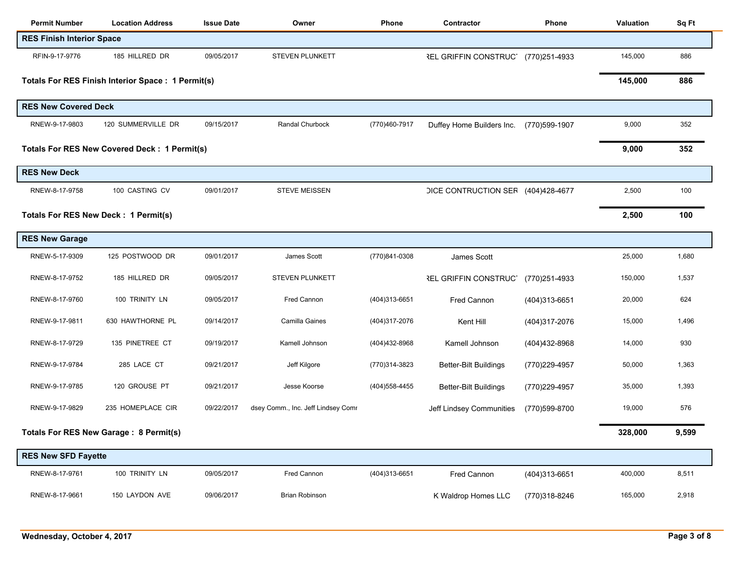| <b>Permit Number</b>             | <b>Location Address</b>                             | <b>Issue Date</b> | Owner                              | Phone          | Contractor                         | Phone          | Valuation | Sq Ft |
|----------------------------------|-----------------------------------------------------|-------------------|------------------------------------|----------------|------------------------------------|----------------|-----------|-------|
| <b>RES Finish Interior Space</b> |                                                     |                   |                                    |                |                                    |                |           |       |
| RFIN-9-17-9776                   | 185 HILLRED DR                                      | 09/05/2017        | STEVEN PLUNKETT                    |                | <b>REL GRIFFIN CONSTRUCT</b>       | (770)251-4933  | 145,000   | 886   |
|                                  | Totals For RES Finish Interior Space : 1 Permit(s)  |                   |                                    |                |                                    |                | 145,000   | 886   |
| <b>RES New Covered Deck</b>      |                                                     |                   |                                    |                |                                    |                |           |       |
| RNEW-9-17-9803                   | 120 SUMMERVILLE DR                                  | 09/15/2017        | Randal Churbock                    | (770)460-7917  | Duffey Home Builders Inc.          | (770)599-1907  | 9,000     | 352   |
|                                  | <b>Totals For RES New Covered Deck: 1 Permit(s)</b> |                   |                                    |                |                                    |                | 9,000     | 352   |
| <b>RES New Deck</b>              |                                                     |                   |                                    |                |                                    |                |           |       |
| RNEW-8-17-9758                   | 100 CASTING CV                                      | 09/01/2017        | <b>STEVE MEISSEN</b>               |                | DICE CONTRUCTION SER (404)428-4677 |                | 2,500     | 100   |
|                                  | Totals For RES New Deck : 1 Permit(s)               |                   |                                    |                |                                    |                | 2,500     | 100   |
| <b>RES New Garage</b>            |                                                     |                   |                                    |                |                                    |                |           |       |
| RNEW-5-17-9309                   | 125 POSTWOOD DR                                     | 09/01/2017        | James Scott                        | (770)841-0308  | James Scott                        |                | 25,000    | 1,680 |
| RNEW-8-17-9752                   | 185 HILLRED DR                                      | 09/05/2017        | STEVEN PLUNKETT                    |                | <b>REL GRIFFIN CONSTRUCT</b>       | (770)251-4933  | 150,000   | 1,537 |
| RNEW-8-17-9760                   | 100 TRINITY LN                                      | 09/05/2017        | Fred Cannon                        | (404)313-6651  | Fred Cannon                        | (404)313-6651  | 20,000    | 624   |
| RNEW-9-17-9811                   | 630 HAWTHORNE PL                                    | 09/14/2017        | Camilla Gaines                     | (404)317-2076  | Kent Hill                          | (404)317-2076  | 15,000    | 1,496 |
| RNEW-8-17-9729                   | 135 PINETREE CT                                     | 09/19/2017        | Kamell Johnson                     | (404)432-8968  | Kamell Johnson                     | (404) 432-8968 | 14,000    | 930   |
| RNEW-9-17-9784                   | 285 LACE CT                                         | 09/21/2017        | Jeff Kilgore                       | (770)314-3823  | <b>Better-Bilt Buildings</b>       | (770) 229-4957 | 50,000    | 1,363 |
| RNEW-9-17-9785                   | 120 GROUSE PT                                       | 09/21/2017        | Jesse Koorse                       | (404) 558-4455 | Better-Bilt Buildings              | (770) 229-4957 | 35,000    | 1,393 |
| RNEW-9-17-9829                   | 235 HOMEPLACE CIR                                   | 09/22/2017        | dsey Comm., Inc. Jeff Lindsey Comr |                | Jeff Lindsey Communities           | (770)599-8700  | 19,000    | 576   |
|                                  | Totals For RES New Garage: 8 Permit(s)              |                   |                                    |                |                                    |                | 328,000   | 9,599 |
| <b>RES New SFD Fayette</b>       |                                                     |                   |                                    |                |                                    |                |           |       |
| RNEW-8-17-9761                   | 100 TRINITY LN                                      | 09/05/2017        | Fred Cannon                        | (404)313-6651  | Fred Cannon                        | (404)313-6651  | 400,000   | 8,511 |
| RNEW-8-17-9661                   | 150 LAYDON AVE                                      | 09/06/2017        | <b>Brian Robinson</b>              |                | K Waldrop Homes LLC                | (770)318-8246  | 165,000   | 2,918 |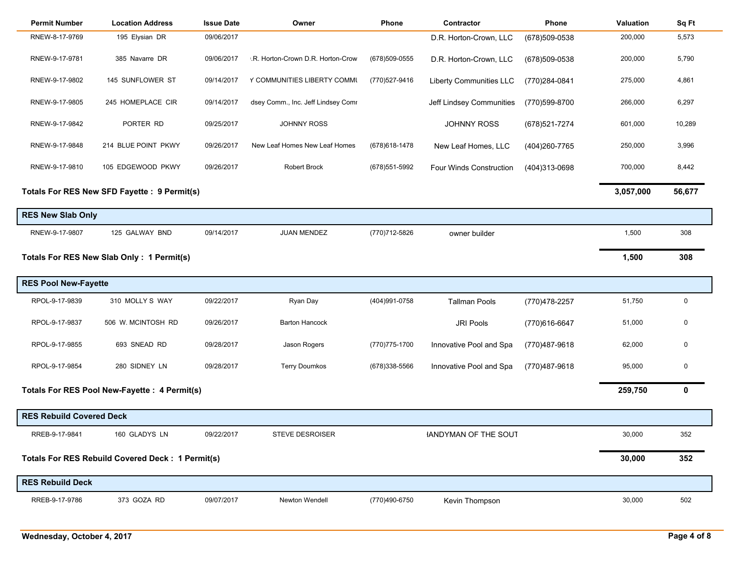| <b>Permit Number</b>            | <b>Location Address</b>                                 | <b>Issue Date</b> | Owner                              | Phone          | Contractor                     | Phone          | <b>Valuation</b> | Sq Ft  |
|---------------------------------|---------------------------------------------------------|-------------------|------------------------------------|----------------|--------------------------------|----------------|------------------|--------|
| RNEW-8-17-9769                  | 195 Elysian DR                                          | 09/06/2017        |                                    |                | D.R. Horton-Crown, LLC         | (678)509-0538  | 200,000          | 5,573  |
| RNEW-9-17-9781                  | 385 Navarre DR                                          | 09/06/2017        | .R. Horton-Crown D.R. Horton-Crow  | (678) 509-0555 | D.R. Horton-Crown, LLC         | (678)509-0538  | 200,000          | 5,790  |
| RNEW-9-17-9802                  | 145 SUNFLOWER ST                                        | 09/14/2017        | Y COMMUNITIES LIBERTY COMMU        | (770) 527-9416 | <b>Liberty Communities LLC</b> | (770)284-0841  | 275,000          | 4,861  |
| RNEW-9-17-9805                  | 245 HOMEPLACE CIR                                       | 09/14/2017        | dsey Comm., Inc. Jeff Lindsey Comr |                | Jeff Lindsey Communities       | (770)599-8700  | 266,000          | 6,297  |
| RNEW-9-17-9842                  | PORTER RD                                               | 09/25/2017        | <b>JOHNNY ROSS</b>                 |                | <b>JOHNNY ROSS</b>             | (678) 521-7274 | 601,000          | 10,289 |
| RNEW-9-17-9848                  | 214 BLUE POINT PKWY                                     | 09/26/2017        | New Leaf Homes New Leaf Homes      | (678) 618-1478 | New Leaf Homes, LLC            | (404) 260-7765 | 250,000          | 3,996  |
| RNEW-9-17-9810                  | 105 EDGEWOOD PKWY                                       | 09/26/2017        | <b>Robert Brock</b>                | (678) 551-5992 | <b>Four Winds Construction</b> | (404)313-0698  | 700,000          | 8,442  |
|                                 | Totals For RES New SFD Fayette : 9 Permit(s)            |                   |                                    |                |                                |                | 3,057,000        | 56,677 |
| <b>RES New Slab Only</b>        |                                                         |                   |                                    |                |                                |                |                  |        |
| RNEW-9-17-9807                  | 125 GALWAY BND                                          | 09/14/2017        | <b>JUAN MENDEZ</b>                 | (770) 712-5826 | owner builder                  |                | 1,500            | 308    |
|                                 | Totals For RES New Slab Only: 1 Permit(s)               |                   |                                    |                |                                |                | 1,500            | 308    |
| <b>RES Pool New-Fayette</b>     |                                                         |                   |                                    |                |                                |                |                  |        |
| RPOL-9-17-9839                  | 310 MOLLY S WAY                                         | 09/22/2017        | Ryan Day                           | (404) 991-0758 | <b>Tallman Pools</b>           | (770) 478-2257 | 51,750           | 0      |
| RPOL-9-17-9837                  | 506 W. MCINTOSH RD                                      | 09/26/2017        | <b>Barton Hancock</b>              |                | <b>JRI Pools</b>               | (770)616-6647  | 51,000           | 0      |
| RPOL-9-17-9855                  | 693 SNEAD RD                                            | 09/28/2017        | Jason Rogers                       | (770) 775-1700 | Innovative Pool and Spa        | (770)487-9618  | 62,000           | 0      |
| RPOL-9-17-9854                  | 280 SIDNEY LN                                           | 09/28/2017        | <b>Terry Doumkos</b>               | (678)338-5566  | Innovative Pool and Spa        | (770)487-9618  | 95,000           | 0      |
|                                 | Totals For RES Pool New-Fayette : 4 Permit(s)           |                   |                                    |                |                                |                | 259,750          | 0      |
| <b>RES Rebuild Covered Deck</b> |                                                         |                   |                                    |                |                                |                |                  |        |
| RREB-9-17-9841                  | 160 GLADYS LN                                           | 09/22/2017        | STEVE DESROISER                    |                | <b>IANDYMAN OF THE SOUT</b>    |                | 30,000           | 352    |
|                                 | <b>Totals For RES Rebuild Covered Deck: 1 Permit(s)</b> |                   |                                    |                |                                |                | 30,000           | 352    |
| <b>RES Rebuild Deck</b>         |                                                         |                   |                                    |                |                                |                |                  |        |
| RREB-9-17-9786                  | 373 GOZA RD                                             | 09/07/2017        | Newton Wendell                     | (770)490-6750  | Kevin Thompson                 |                | 30,000           | 502    |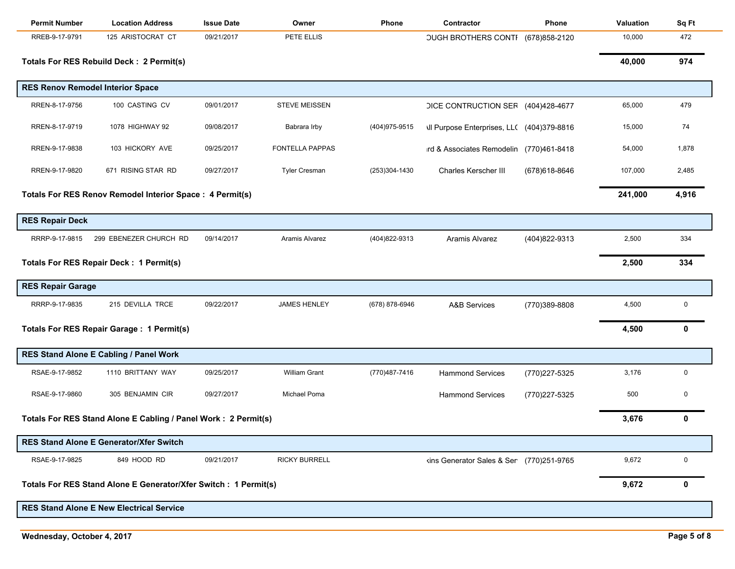| <b>Permit Number</b>     | <b>Location Address</b>                                          | <b>Issue Date</b> | Owner                  | Phone          | Contractor                                        | Phone          | Valuation | Sq Ft       |
|--------------------------|------------------------------------------------------------------|-------------------|------------------------|----------------|---------------------------------------------------|----------------|-----------|-------------|
| RREB-9-17-9791           | 125 ARISTOCRAT CT                                                | 09/21/2017        | PETE ELLIS             |                | <b>OUGH BROTHERS CONTI</b>                        | (678) 858-2120 | 10,000    | 472         |
|                          | Totals For RES Rebuild Deck : 2 Permit(s)                        |                   |                        |                |                                                   |                | 40,000    | 974         |
|                          | <b>RES Renov Remodel Interior Space</b>                          |                   |                        |                |                                                   |                |           |             |
| RREN-8-17-9756           | 100 CASTING CV                                                   | 09/01/2017        | <b>STEVE MEISSEN</b>   |                | DICE CONTRUCTION SER (404)428-4677                |                | 65,000    | 479         |
| RREN-8-17-9719           | 1078 HIGHWAY 92                                                  | 09/08/2017        | Babrara Irby           | (404) 975-9515 | <b>\Il Purpose Enterprises, LL( (404)379-8816</b> |                | 15,000    | 74          |
| RREN-9-17-9838           | 103 HICKORY AVE                                                  | 09/25/2017        | <b>FONTELLA PAPPAS</b> |                | ird & Associates Remodelin (770)461-8418          |                | 54,000    | 1,878       |
| RREN-9-17-9820           | 671 RISING STAR RD                                               | 09/27/2017        | <b>Tyler Cresman</b>   | (253)304-1430  | Charles Kerscher III                              | (678) 618-8646 | 107,000   | 2,485       |
|                          | Totals For RES Renov Remodel Interior Space: 4 Permit(s)         |                   |                        |                |                                                   |                | 241,000   | 4,916       |
| <b>RES Repair Deck</b>   |                                                                  |                   |                        |                |                                                   |                |           |             |
| RRRP-9-17-9815           | 299 EBENEZER CHURCH RD                                           | 09/14/2017        | Aramis Alvarez         | (404) 822-9313 | Aramis Alvarez                                    | (404)822-9313  | 2,500     | 334         |
|                          | Totals For RES Repair Deck: 1 Permit(s)                          |                   |                        |                |                                                   |                | 2,500     | 334         |
| <b>RES Repair Garage</b> |                                                                  |                   |                        |                |                                                   |                |           |             |
| RRRP-9-17-9835           | 215 DEVILLA TRCE                                                 | 09/22/2017        | <b>JAMES HENLEY</b>    | (678) 878-6946 | <b>A&amp;B Services</b>                           | (770)389-8808  | 4,500     | 0           |
|                          | Totals For RES Repair Garage : 1 Permit(s)                       |                   |                        |                |                                                   |                | 4,500     | $\mathbf 0$ |
|                          | RES Stand Alone E Cabling / Panel Work                           |                   |                        |                |                                                   |                |           |             |
| RSAE-9-17-9852           | 1110 BRITTANY WAY                                                | 09/25/2017        | <b>William Grant</b>   | (770) 487-7416 | <b>Hammond Services</b>                           | (770) 227-5325 | 3,176     | 0           |
| RSAE-9-17-9860           | 305 BENJAMIN CIR                                                 | 09/27/2017        | Michael Poma           |                | <b>Hammond Services</b>                           | (770)227-5325  | 500       | 0           |
|                          | Totals For RES Stand Alone E Cabling / Panel Work : 2 Permit(s)  |                   |                        |                |                                                   |                | 3,676     | 0           |
|                          | <b>RES Stand Alone E Generator/Xfer Switch</b>                   |                   |                        |                |                                                   |                |           |             |
| RSAE-9-17-9825           | 849 HOOD RD                                                      | 09/21/2017        | <b>RICKY BURRELL</b>   |                | kins Generator Sales & Ser (770)251-9765          |                | 9,672     | 0           |
|                          | Totals For RES Stand Alone E Generator/Xfer Switch : 1 Permit(s) |                   |                        |                |                                                   |                | 9,672     | 0           |
|                          | <b>RES Stand Alone E New Electrical Service</b>                  |                   |                        |                |                                                   |                |           |             |
|                          |                                                                  |                   |                        |                |                                                   |                |           |             |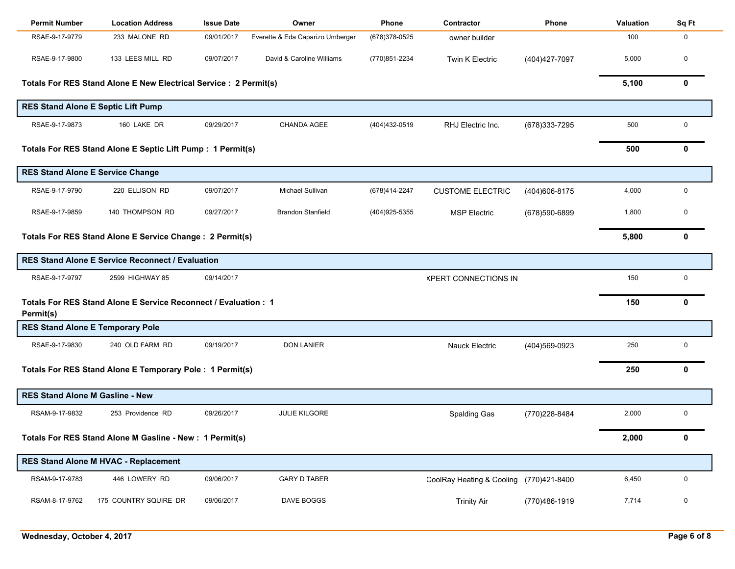| <b>Permit Number</b>                   | <b>Location Address</b>                                           | <b>Issue Date</b> | Owner                            | Phone          | Contractor                              | Phone          | <b>Valuation</b> | Sq Ft        |
|----------------------------------------|-------------------------------------------------------------------|-------------------|----------------------------------|----------------|-----------------------------------------|----------------|------------------|--------------|
| RSAE-9-17-9779                         | 233 MALONE RD                                                     | 09/01/2017        | Everette & Eda Caparizo Umberger | (678) 378-0525 | owner builder                           |                | 100              | 0            |
| RSAE-9-17-9800                         | 133 LEES MILL RD                                                  | 09/07/2017        | David & Caroline Williams        | (770)851-2234  | Twin K Electric                         | (404)427-7097  | 5,000            | 0            |
|                                        | Totals For RES Stand Alone E New Electrical Service : 2 Permit(s) |                   |                                  |                |                                         |                | 5,100            | $\mathbf 0$  |
|                                        | <b>RES Stand Alone E Septic Lift Pump</b>                         |                   |                                  |                |                                         |                |                  |              |
| RSAE-9-17-9873                         | 160 LAKE DR                                                       | 09/29/2017        | CHANDA AGEE                      | (404)432-0519  | RHJ Electric Inc.                       | (678) 333-7295 | 500              | $\mathbf 0$  |
|                                        | Totals For RES Stand Alone E Septic Lift Pump : 1 Permit(s)       |                   |                                  |                |                                         |                | 500              | $\mathbf 0$  |
|                                        | <b>RES Stand Alone E Service Change</b>                           |                   |                                  |                |                                         |                |                  |              |
| RSAE-9-17-9790                         | 220 ELLISON RD                                                    | 09/07/2017        | Michael Sullivan                 | (678)414-2247  | <b>CUSTOME ELECTRIC</b>                 | (404) 606-8175 | 4,000            | $\mathbf 0$  |
| RSAE-9-17-9859                         | 140 THOMPSON RD                                                   | 09/27/2017        | <b>Brandon Stanfield</b>         | (404) 925-5355 | <b>MSP Electric</b>                     | (678)590-6899  | 1,800            | 0            |
|                                        | Totals For RES Stand Alone E Service Change : 2 Permit(s)         |                   |                                  |                |                                         |                | 5,800            | $\mathbf{0}$ |
|                                        | <b>RES Stand Alone E Service Reconnect / Evaluation</b>           |                   |                                  |                |                                         |                |                  |              |
| RSAE-9-17-9797                         | 09/14/2017<br>2599 HIGHWAY 85<br><b>XPERT CONNECTIONS IN</b>      |                   |                                  |                |                                         | 150            | $\mathbf 0$      |              |
| Permit(s)                              | Totals For RES Stand Alone E Service Reconnect / Evaluation: 1    |                   |                                  |                |                                         |                | 150              | $\mathbf{0}$ |
|                                        | <b>RES Stand Alone E Temporary Pole</b>                           |                   |                                  |                |                                         |                |                  |              |
| RSAE-9-17-9830                         | 240 OLD FARM RD                                                   | 09/19/2017        | <b>DON LANIER</b>                |                | Nauck Electric                          | (404)569-0923  | 250              | 0            |
|                                        | Totals For RES Stand Alone E Temporary Pole : 1 Permit(s)         |                   |                                  |                |                                         |                | 250              | $\mathbf{0}$ |
| <b>RES Stand Alone M Gasline - New</b> |                                                                   |                   |                                  |                |                                         |                |                  |              |
| RSAM-9-17-9832                         | 253 Providence RD                                                 | 09/26/2017        | <b>JULIE KILGORE</b>             |                | <b>Spalding Gas</b>                     | (770)228-8484  | 2,000            | 0            |
|                                        | Totals For RES Stand Alone M Gasline - New : 1 Permit(s)          |                   |                                  |                |                                         |                | 2,000            | 0            |
|                                        | <b>RES Stand Alone M HVAC - Replacement</b>                       |                   |                                  |                |                                         |                |                  |              |
| RSAM-9-17-9783                         | 446 LOWERY RD                                                     | 09/06/2017        | <b>GARY D TABER</b>              |                | CoolRay Heating & Cooling (770)421-8400 |                | 6,450            | 0            |
| RSAM-8-17-9762                         | 175 COUNTRY SQUIRE DR                                             | 09/06/2017        | DAVE BOGGS                       |                | <b>Trinity Air</b>                      | (770)486-1919  | 7,714            | 0            |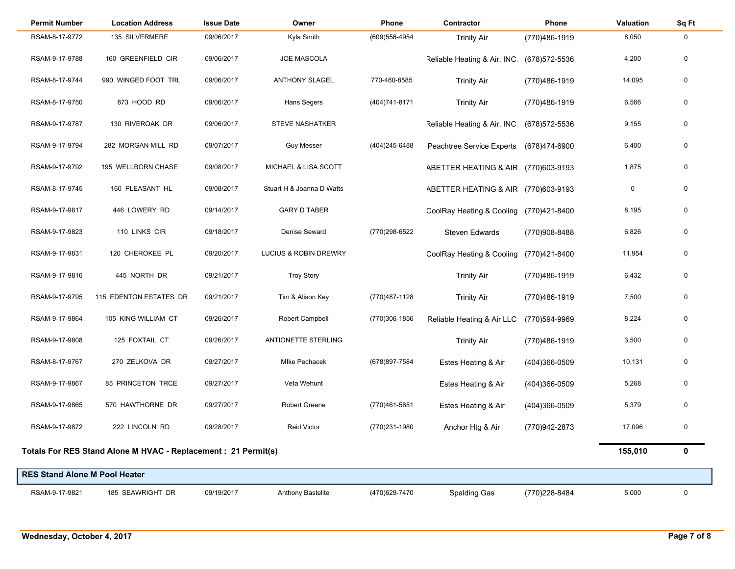| <b>Permit Number</b>                 | <b>Location Address</b>                                        | <b>Issue Date</b> | Owner                     | Phone          | Contractor                          | Phone          | Valuation | Sq Ft |
|--------------------------------------|----------------------------------------------------------------|-------------------|---------------------------|----------------|-------------------------------------|----------------|-----------|-------|
| RSAM-8-17-9772                       | 135 SILVERMERE                                                 | 09/06/2017        | Kyla Smith                | (609) 556-4954 | <b>Trinity Air</b>                  | (770)486-1919  | 8,050     | 0     |
| RSAM-9-17-9788                       | 160 GREENFIELD CIR                                             | 09/06/2017        | <b>JOE MASCOLA</b>        |                | Reliable Heating & Air, INC.        | (678) 572-5536 | 4,200     | 0     |
| RSAM-8-17-9744                       | 990 WINGED FOOT TRL                                            | 09/06/2017        | <b>ANTHONY SLAGEL</b>     | 770-460-8585   | <b>Trinity Air</b>                  | (770)486-1919  | 14,095    | 0     |
| RSAM-8-17-9750                       | 873 HOOD RD                                                    | 09/06/2017        | Hans Segers               | (404) 741-8171 | <b>Trinity Air</b>                  | (770)486-1919  | 6,566     | 0     |
| RSAM-9-17-9787                       | 130 RIVEROAK DR                                                | 09/06/2017        | <b>STEVE NASHATKER</b>    |                | Reliable Heating & Air, INC.        | (678) 572-5536 | 9,155     | 0     |
| RSAM-9-17-9794                       | 282 MORGAN MILL RD                                             | 09/07/2017        | <b>Guy Messer</b>         | (404) 245-6488 | Peachtree Service Experts           | (678)474-6900  | 6,400     | 0     |
| RSAM-9-17-9792                       | 195 WELLBORN CHASE                                             | 09/08/2017        | MICHAEL & LISA SCOTT      |                | ABETTER HEATING & AIR (770)603-9193 |                | 1,875     | 0     |
| RSAM-8-17-9745                       | 160 PLEASANT HL                                                | 09/08/2017        | Stuart H & Joanna D Watts |                | ABETTER HEATING & AIR               | (770)603-9193  | 0         | 0     |
| RSAM-9-17-9817                       | 446 LOWERY RD                                                  | 09/14/2017        | <b>GARY D TABER</b>       |                | CoolRay Heating & Cooling           | (770)421-8400  | 8,195     | 0     |
| RSAM-9-17-9823                       | 110 LINKS CIR                                                  | 09/18/2017        | Denise Seward             | (770)298-6522  | <b>Steven Edwards</b>               | (770)908-8488  | 6,826     | 0     |
| RSAM-9-17-9831                       | 120 CHEROKEE PL                                                | 09/20/2017        | LUCIUS & ROBIN DREWRY     |                | CoolRay Heating & Cooling           | (770)421-8400  | 11,954    | 0     |
| RSAM-9-17-9816                       | 445 NORTH DR                                                   | 09/21/2017        | <b>Troy Story</b>         |                | <b>Trinity Air</b>                  | (770)486-1919  | 6,432     | 0     |
| RSAM-9-17-9795                       | 115 EDENTON ESTATES DR                                         | 09/21/2017        | Tim & Alison Key          | (770)487-1128  | <b>Trinity Air</b>                  | (770)486-1919  | 7,500     | 0     |
| RSAM-9-17-9864                       | 105 KING WILLIAM CT                                            | 09/26/2017        | Robert Campbell           | (770)306-1856  | Reliable Heating & Air LLC          | (770)594-9969  | 8,224     | 0     |
| RSAM-9-17-9808                       | 125 FOXTAIL CT                                                 | 09/26/2017        | ANTIONETTE STERLING       |                | <b>Trinity Air</b>                  | (770)486-1919  | 3,500     | 0     |
| RSAM-8-17-9767                       | 270 ZELKOVA DR                                                 | 09/27/2017        | Mlke Pechacek             | (678) 897-7584 | Estes Heating & Air                 | (404)366-0509  | 10,131    | 0     |
| RSAM-9-17-9867                       | 85 PRINCETON TRCE                                              | 09/27/2017        | Veta Wehunt               |                | Estes Heating & Air                 | (404)366-0509  | 5,268     | 0     |
| RSAM-9-17-9865                       | 570 HAWTHORNE DR                                               | 09/27/2017        | <b>Robert Greene</b>      | (770)461-5851  | Estes Heating & Air                 | (404)366-0509  | 5,379     | 0     |
| RSAM-9-17-9872                       | 222 LINCOLN RD                                                 | 09/28/2017        | <b>Reid Victor</b>        | (770)231-1980  | Anchor Htg & Air                    | (770)942-2873  | 17,096    | 0     |
|                                      | Totals For RES Stand Alone M HVAC - Replacement : 21 Permit(s) |                   |                           |                |                                     |                | 155,010   | 0     |
| <b>RES Stand Alone M Pool Heater</b> |                                                                |                   |                           |                |                                     |                |           |       |
| RSAM-9-17-9821                       | 185 SEAWRIGHT DR                                               | 09/19/2017        | <b>Anthony Bastelite</b>  | (470) 629-7470 | <b>Spalding Gas</b>                 | (770) 228-8484 | 5,000     | 0     |

÷